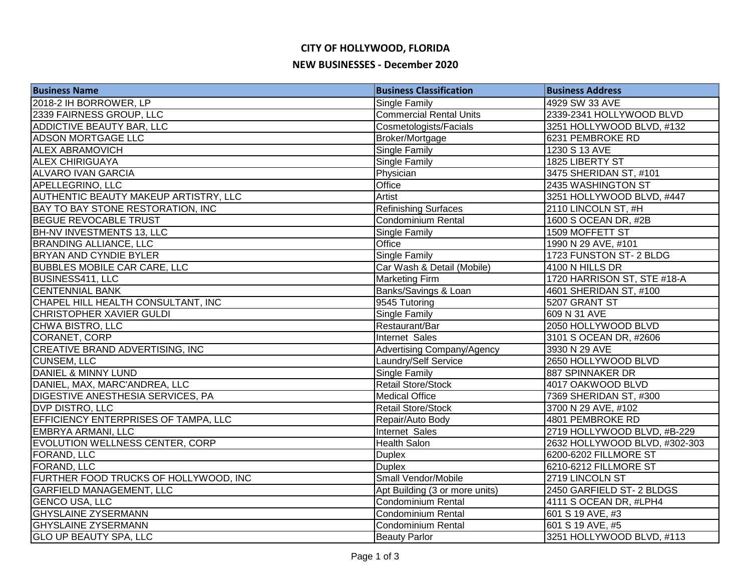# **CITY OF HOLLYWOOD, FLORIDA**

#### **NEW BUSINESSES - December 2020**

| <b>Business Name</b>                         | <b>Business Classification</b> | <b>Business Address</b>       |
|----------------------------------------------|--------------------------------|-------------------------------|
| 2018-2 IH BORROWER, LP                       | Single Family                  | 4929 SW 33 AVE                |
| 2339 FAIRNESS GROUP, LLC                     | <b>Commercial Rental Units</b> | 2339-2341 HOLLYWOOD BLVD      |
| ADDICTIVE BEAUTY BAR, LLC                    | Cosmetologists/Facials         | 3251 HOLLYWOOD BLVD, #132     |
| <b>ADSON MORTGAGE LLC</b>                    | Broker/Mortgage                | 6231 PEMBROKE RD              |
| <b>ALEX ABRAMOVICH</b>                       | Single Family                  | 1230 S 13 AVE                 |
| <b>ALEX CHIRIGUAYA</b>                       | <b>Single Family</b>           | 1825 LIBERTY ST               |
| <b>ALVARO IVAN GARCIA</b>                    | Physician                      | 3475 SHERIDAN ST, #101        |
| <b>APELLEGRINO, LLC</b>                      | Office                         | 2435 WASHINGTON ST            |
| <b>AUTHENTIC BEAUTY MAKEUP ARTISTRY, LLC</b> | Artist                         | 3251 HOLLYWOOD BLVD, #447     |
| BAY TO BAY STONE RESTORATION, INC            | <b>Refinishing Surfaces</b>    | 2110 LINCOLN ST, #H           |
| <b>BEGUE REVOCABLE TRUST</b>                 | Condominium Rental             | 1600 S OCEAN DR, #2B          |
| <b>BH-NV INVESTMENTS 13, LLC</b>             | Single Family                  | 1509 MOFFETT ST               |
| <b>BRANDING ALLIANCE, LLC</b>                | Office                         | 1990 N 29 AVE, #101           |
| <b>BRYAN AND CYNDIE BYLER</b>                | Single Family                  | 1723 FUNSTON ST-2 BLDG        |
| <b>BUBBLES MOBILE CAR CARE, LLC</b>          | Car Wash & Detail (Mobile)     | 4100 N HILLS DR               |
| BUSINESS411, LLC                             | <b>Marketing Firm</b>          | 1720 HARRISON ST, STE #18-A   |
| <b>CENTENNIAL BANK</b>                       | Banks/Savings & Loan           | 4601 SHERIDAN ST, #100        |
| CHAPEL HILL HEALTH CONSULTANT, INC           | 9545 Tutoring                  | 5207 GRANT ST                 |
| CHRISTOPHER XAVIER GULDI                     | Single Family                  | 609 N 31 AVE                  |
| CHWA BISTRO, LLC                             | Restaurant/Bar                 | 2050 HOLLYWOOD BLVD           |
| CORANET, CORP                                | Internet Sales                 | 3101 S OCEAN DR, #2606        |
| CREATIVE BRAND ADVERTISING, INC              | Advertising Company/Agency     | 3930 N 29 AVE                 |
| <b>CUNSEM, LLC</b>                           | Laundry/Self Service           | 2650 HOLLYWOOD BLVD           |
| <b>DANIEL &amp; MINNY LUND</b>               | Single Family                  | 887 SPINNAKER DR              |
| DANIEL, MAX, MARC'ANDREA, LLC                | <b>Retail Store/Stock</b>      | 4017 OAKWOOD BLVD             |
| <b>DIGESTIVE ANESTHESIA SERVICES, PA</b>     | <b>Medical Office</b>          | 7369 SHERIDAN ST, #300        |
| <b>DVP DISTRO, LLC</b>                       | <b>Retail Store/Stock</b>      | 3700 N 29 AVE, #102           |
| EFFICIENCY ENTERPRISES OF TAMPA, LLC         | Repair/Auto Body               | 4801 PEMBROKE RD              |
| EMBRYA ARMANI, LLC                           | Internet Sales                 | 2719 HOLLYWOOD BLVD, #B-229   |
| EVOLUTION WELLNESS CENTER, CORP              | Health Salon                   | 2632 HOLLYWOOD BLVD, #302-303 |
| <b>FORAND, LLC</b>                           | <b>Duplex</b>                  | 6200-6202 FILLMORE ST         |
| <b>FORAND, LLC</b>                           | <b>Duplex</b>                  | 6210-6212 FILLMORE ST         |
| FURTHER FOOD TRUCKS OF HOLLYWOOD, INC        | Small Vendor/Mobile            | 2719 LINCOLN ST               |
| <b>GARFIELD MANAGEMENT, LLC</b>              | Apt Building (3 or more units) | 2450 GARFIELD ST-2 BLDGS      |
| <b>GENCO USA, LLC</b>                        | Condominium Rental             | 4111 S OCEAN DR, #LPH4        |
| <b>GHYSLAINE ZYSERMANN</b>                   | Condominium Rental             | 601 S 19 AVE, #3              |
| <b>GHYSLAINE ZYSERMANN</b>                   | <b>Condominium Rental</b>      | 601 S 19 AVE, #5              |
| <b>GLO UP BEAUTY SPA, LLC</b>                | <b>Beauty Parlor</b>           | 3251 HOLLYWOOD BLVD, #113     |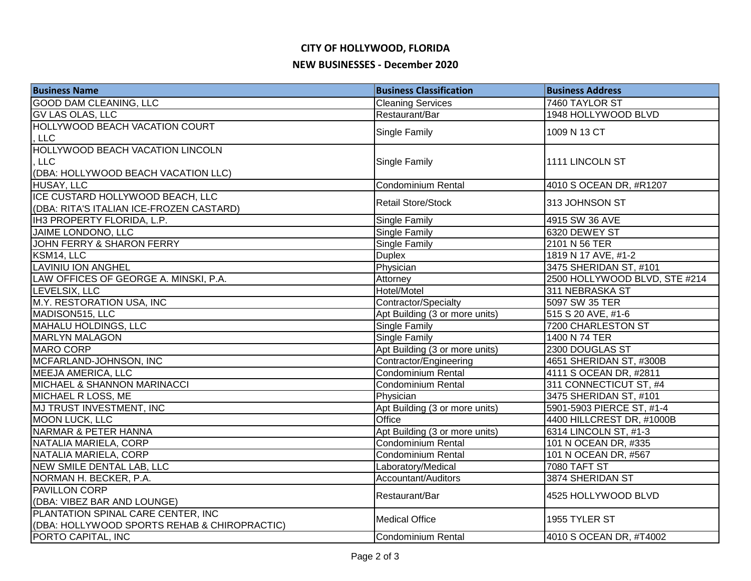# **CITY OF HOLLYWOOD, FLORIDA**

### **NEW BUSINESSES - December 2020**

| <b>Business Name</b>                         | <b>Business Classification</b> | <b>Business Address</b>       |
|----------------------------------------------|--------------------------------|-------------------------------|
| <b>GOOD DAM CLEANING, LLC</b>                | <b>Cleaning Services</b>       | 7460 TAYLOR ST                |
| <b>GV LAS OLAS, LLC</b>                      | Restaurant/Bar                 | 1948 HOLLYWOOD BLVD           |
| HOLLYWOOD BEACH VACATION COURT               |                                | 1009 N 13 CT                  |
| <b>LLC</b>                                   | Single Family                  |                               |
| HOLLYWOOD BEACH VACATION LINCOLN             |                                |                               |
| <b>LLC</b>                                   | Single Family                  | 1111 LINCOLN ST               |
| (DBA: HOLLYWOOD BEACH VACATION LLC)          |                                |                               |
| <b>HUSAY, LLC</b>                            | Condominium Rental             | 4010 S OCEAN DR, #R1207       |
| ICE CUSTARD HOLLYWOOD BEACH, LLC             | <b>Retail Store/Stock</b>      |                               |
| (DBA: RITA'S ITALIAN ICE-FROZEN CASTARD)     |                                | 313 JOHNSON ST                |
| IH3 PROPERTY FLORIDA, L.P.                   | Single Family                  | 4915 SW 36 AVE                |
| JAIME LONDONO, LLC                           | Single Family                  | 6320 DEWEY ST                 |
| JOHN FERRY & SHARON FERRY                    | Single Family                  | 2101 N 56 TER                 |
| KSM14, LLC                                   | <b>Duplex</b>                  | 1819 N 17 AVE, #1-2           |
| <b>LAVINIU ION ANGHEL</b>                    | Physician                      | 3475 SHERIDAN ST, #101        |
| LAW OFFICES OF GEORGE A. MINSKI, P.A.        | Attorney                       | 2500 HOLLYWOOD BLVD, STE #214 |
| LEVELSIX, LLC                                | Hotel/Motel                    | 311 NEBRASKA ST               |
| M.Y. RESTORATION USA, INC                    | Contractor/Specialty           | 5097 SW 35 TER                |
| MADISON515, LLC                              | Apt Building (3 or more units) | 515 S 20 AVE, #1-6            |
| MAHALU HOLDINGS, LLC                         | <b>Single Family</b>           | 7200 CHARLESTON ST            |
| <b>MARLYN MALAGON</b>                        | Single Family                  | 1400 N 74 TER                 |
| MARO CORP                                    | Apt Building (3 or more units) | 2300 DOUGLAS ST               |
| MCFARLAND-JOHNSON, INC                       | Contractor/Engineering         | 4651 SHERIDAN ST, #300B       |
| <b>MEEJA AMERICA, LLC</b>                    | Condominium Rental             | 4111 S OCEAN DR, #2811        |
| MICHAEL & SHANNON MARINACCI                  | Condominium Rental             | 311 CONNECTICUT ST, #4        |
| MICHAEL R LOSS, ME                           | Physician                      | 3475 SHERIDAN ST, #101        |
| MJ TRUST INVESTMENT, INC                     | Apt Building (3 or more units) | 5901-5903 PIERCE ST, #1-4     |
| <b>MOON LUCK, LLC</b>                        | Office                         | 4400 HILLCREST DR, #1000B     |
| NARMAR & PETER HANNA                         | Apt Building (3 or more units) | 6314 LINCOLN ST, #1-3         |
| NATALIA MARIELA, CORP                        | Condominium Rental             | 101 N OCEAN DR, #335          |
| NATALIA MARIELA, CORP                        | Condominium Rental             | 101 N OCEAN DR, #567          |
| NEW SMILE DENTAL LAB, LLC                    | Laboratory/Medical             | <b>7080 TAFT ST</b>           |
| NORMAN H. BECKER, P.A.                       | Accountant/Auditors            | 3874 SHERIDAN ST              |
| <b>PAVILLON CORP</b>                         | Restaurant/Bar                 | 4525 HOLLYWOOD BLVD           |
| (DBA: VIBEZ BAR AND LOUNGE)                  |                                |                               |
| PLANTATION SPINAL CARE CENTER, INC           | <b>Medical Office</b>          | 1955 TYLER ST                 |
| (DBA: HOLLYWOOD SPORTS REHAB & CHIROPRACTIC) |                                |                               |
| PORTO CAPITAL, INC                           | Condominium Rental             | 4010 S OCEAN DR, #T4002       |